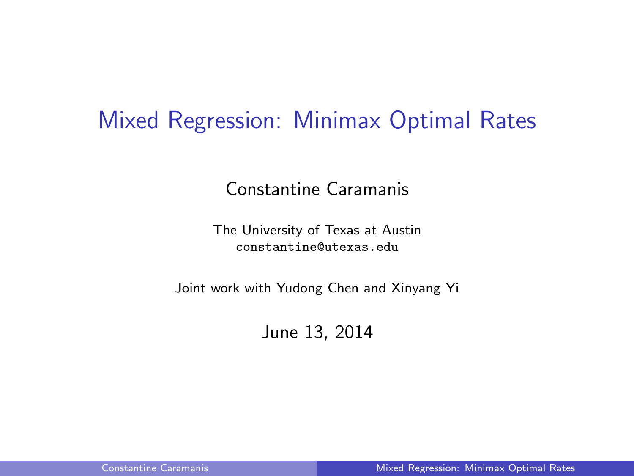### Mixed Regression: Minimax Optimal Rates

Constantine Caramanis

The University of Texas at Austin constantine@utexas.edu

Joint work with Yudong Chen and Xinyang Yi

<span id="page-0-0"></span>June 13, 2014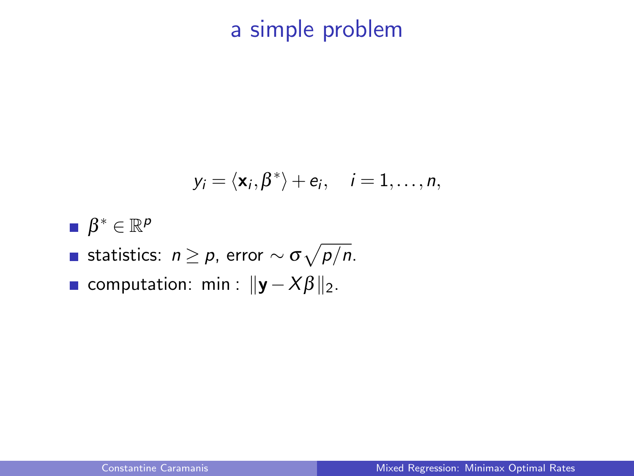# a simple problem

$$
y_i = \langle \mathbf{x}_i, \boldsymbol{\beta}^* \rangle + e_i, \quad i = 1, \ldots, n,
$$

 $\beta^* \in \mathbb{R}^p$ statistics:  $n \geq p$ , error  $\sim \sigma \sqrt{p/n}$ . computation: min :  $||\mathbf{y}-X\beta||_2$ .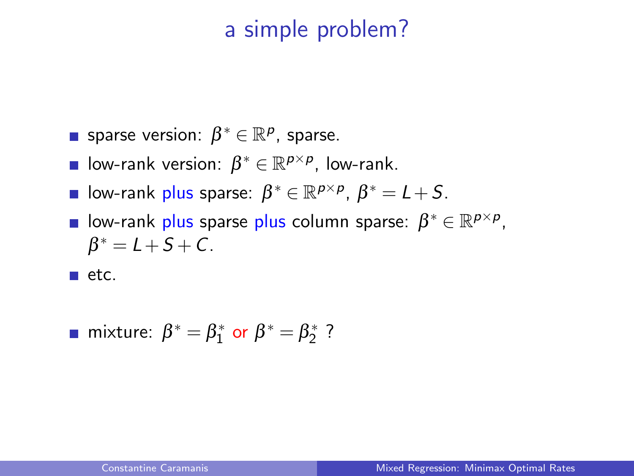### a simple problem?

- sparse version:  $\beta^* \in \mathbb{R}^p$ , sparse.
- low-rank version:  $\beta^* \in \mathbb{R}^{p \times p}$ , low-rank.
- low-rank plus sparse:  $\beta^* \in \mathbb{R}^{p \times p}$ ,  $\beta^* = L + S$ .
- low-rank plus sparse plus column sparse:  $\beta^* \in \mathbb{R}^{p \times p}$ ,  $\beta^* = L + S + C$ .

 $\blacksquare$  etc.

**matrix** mixture: 
$$
\beta^* = \beta_1^*
$$
 or  $\beta^* = \beta_2^*$  ?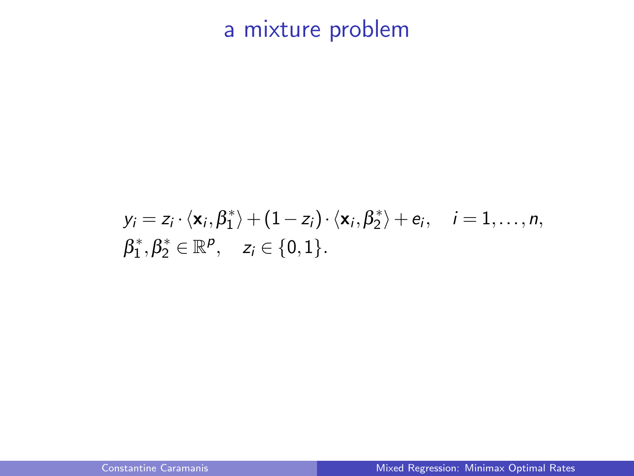a mixture problem

$$
y_i = z_i \cdot \langle \mathbf{x}_i, \beta_1^* \rangle + (1 - z_i) \cdot \langle \mathbf{x}_i, \beta_2^* \rangle + e_i, \quad i = 1, \dots, n,
$$
  

$$
\beta_1^*, \beta_2^* \in \mathbb{R}^p, \quad z_i \in \{0, 1\}.
$$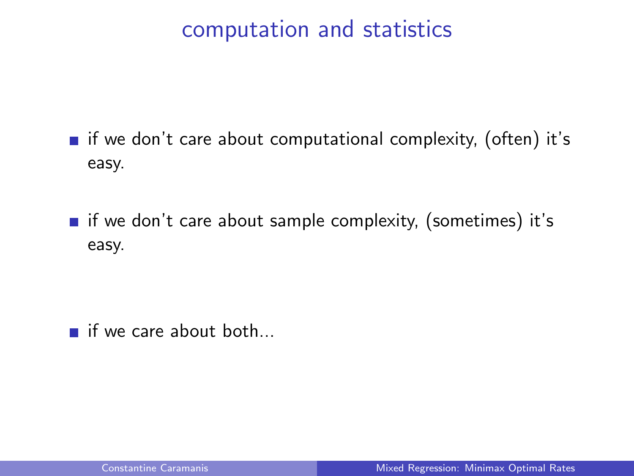### computation and statistics

- $\blacksquare$  if we don't care about computational complexity, (often) it's easy.
- $\blacksquare$  if we don't care about sample complexity, (sometimes) it's easy.

 $\blacksquare$  if we care about both...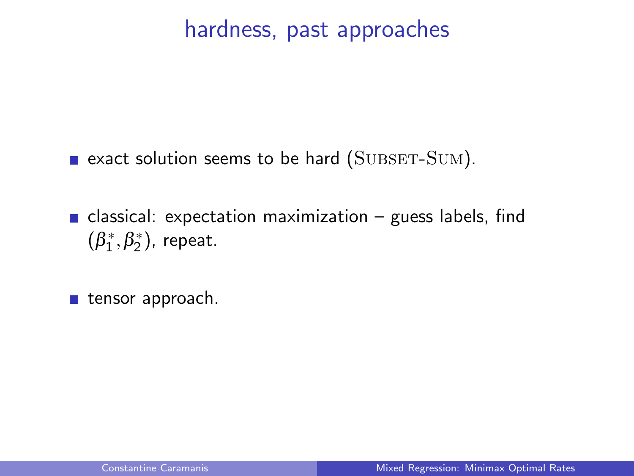### hardness, past approaches

- $\blacksquare$  exact solution seems to be hard (SUBSET-SUM).
- classical: expectation maximization guess labels, find  $(\beta_1^*, \beta_2^*)$ , repeat.
- $\blacksquare$  tensor approach.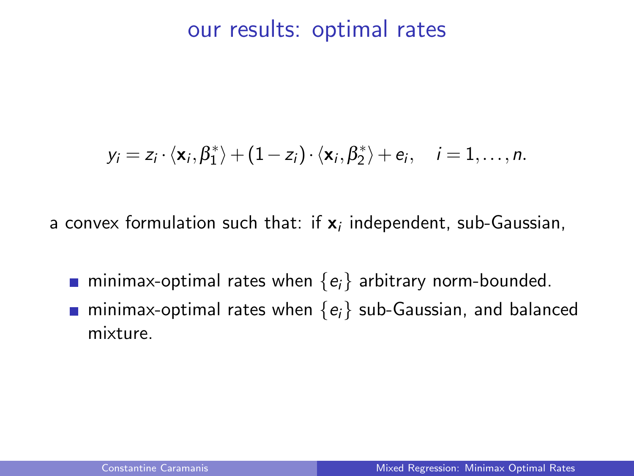#### our results: optimal rates

$$
y_i = z_i \cdot \langle \mathbf{x}_i, \beta_1^* \rangle + (1 - z_i) \cdot \langle \mathbf{x}_i, \beta_2^* \rangle + e_i, \quad i = 1, \dots, n.
$$

a convex formulation such that: if  $\mathbf{x}_i$  independent, sub-Gaussian,

- **n** minimax-optimal rates when  $\{e_i\}$  arbitrary norm-bounded.
- **n** minimax-optimal rates when  $\{e_i\}$  sub-Gaussian, and balanced mixture.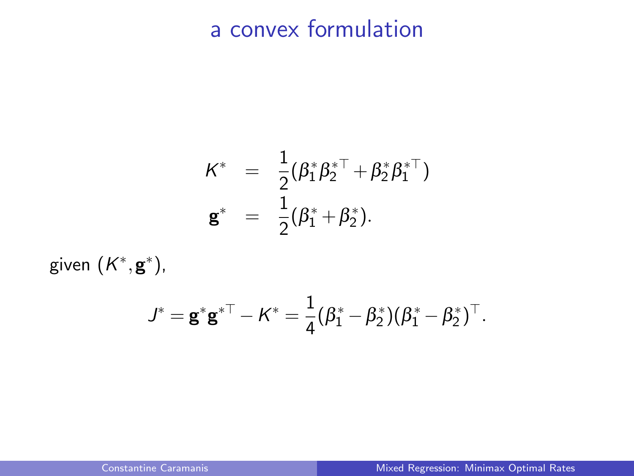## a convex formulation

$$
\begin{array}{rcl}\nK^* & = & \frac{1}{2}(\beta_1^*\beta_2^{*\top}+\beta_2^*\beta_1^{*\top}) \\
\mathbf{g}^* & = & \frac{1}{2}(\beta_1^*+\beta_2^*).\n\end{array}
$$

given  $(K^*, \mathbf{g}^*)$ ,

$$
J^* = \mathbf{g}^* \mathbf{g}^{*\top} - K^* = \frac{1}{4} (\beta_1^* - \beta_2^*)(\beta_1^* - \beta_2^*)^\top.
$$